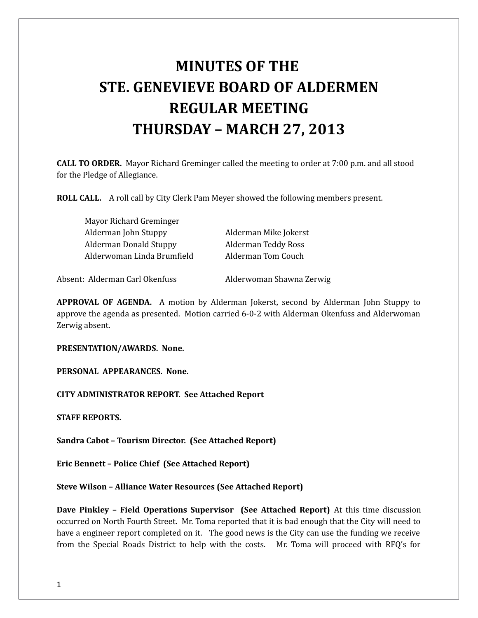# **MINUTES OF THE STE. GENEVIEVE BOARD OF ALDERMEN REGULAR MEETING THURSDAY – MARCH 27, 2013**

**CALL TO ORDER.** Mayor Richard Greminger called the meeting to order at 7:00 p.m. and all stood for the Pledge of Allegiance.

**ROLL CALL.** A roll call by City Clerk Pam Meyer showed the following members present.

| Mayor Richard Greminger        |                          |
|--------------------------------|--------------------------|
| Alderman John Stuppy           | Alderman Mike Jokerst    |
| Alderman Donald Stuppy         | Alderman Teddy Ross      |
| Alderwoman Linda Brumfield     | Alderman Tom Couch       |
| Absent: Alderman Carl Okenfuss | Alderwoman Shawna Zerwig |

**APPROVAL OF AGENDA.** A motion by Alderman Jokerst, second by Alderman John Stuppy to approve the agenda as presented. Motion carried 6-0-2 with Alderman Okenfuss and Alderwoman Zerwig absent.

**PRESENTATION/AWARDS. None.** 

**PERSONAL APPEARANCES. None.** 

**CITY ADMINISTRATOR REPORT. See Attached Report**

**STAFF REPORTS.** 

**Sandra Cabot – Tourism Director. (See Attached Report)**

**Eric Bennett – Police Chief (See Attached Report)** 

**Steve Wilson – Alliance Water Resources (See Attached Report)**

**Dave Pinkley – Field Operations Supervisor (See Attached Report)** At this time discussion occurred on North Fourth Street. Mr. Toma reported that it is bad enough that the City will need to have a engineer report completed on it. The good news is the City can use the funding we receive from the Special Roads District to help with the costs. Mr. Toma will proceed with RFQ's for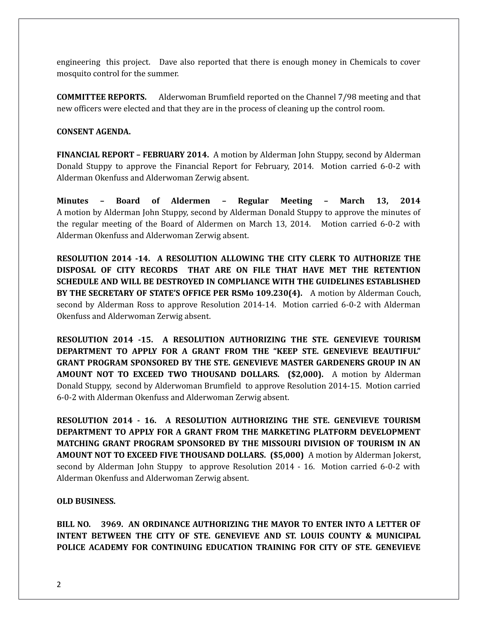engineering this project. Dave also reported that there is enough money in Chemicals to cover mosquito control for the summer.

**COMMITTEE REPORTS.** Alderwoman Brumfield reported on the Channel 7/98 meeting and that new officers were elected and that they are in the process of cleaning up the control room.

#### **CONSENT AGENDA.**

**FINANCIAL REPORT – FEBRUARY 2014.** A motion by Alderman John Stuppy, second by Alderman Donald Stuppy to approve the Financial Report for February, 2014. Motion carried 6-0-2 with Alderman Okenfuss and Alderwoman Zerwig absent.

**Minutes – Board of Aldermen – Regular Meeting – March 13, 2014** A motion by Alderman John Stuppy, second by Alderman Donald Stuppy to approve the minutes of the regular meeting of the Board of Aldermen on March 13, 2014. Motion carried 6-0-2 with Alderman Okenfuss and Alderwoman Zerwig absent.

**RESOLUTION 2014 -14. A RESOLUTION ALLOWING THE CITY CLERK TO AUTHORIZE THE DISPOSAL OF CITY RECORDS THAT ARE ON FILE THAT HAVE MET THE RETENTION SCHEDULE AND WILL BE DESTROYED IN COMPLIANCE WITH THE GUIDELINES ESTABLISHED BY THE SECRETARY OF STATE'S OFFICE PER RSMo 109.230(4).** A motion by Alderman Couch, second by Alderman Ross to approve Resolution 2014-14. Motion carried 6-0-2 with Alderman Okenfuss and Alderwoman Zerwig absent.

**RESOLUTION 2014 -15. A RESOLUTION AUTHORIZING THE STE. GENEVIEVE TOURISM DEPARTMENT TO APPLY FOR A GRANT FROM THE "KEEP STE. GENEVIEVE BEAUTIFUL" GRANT PROGRAM SPONSORED BY THE STE. GENEVIEVE MASTER GARDENERS GROUP IN AN AMOUNT NOT TO EXCEED TWO THOUSAND DOLLARS. (\$2,000).** A motion by Alderman Donald Stuppy, second by Alderwoman Brumfield to approve Resolution 2014-15. Motion carried 6-0-2 with Alderman Okenfuss and Alderwoman Zerwig absent.

**RESOLUTION 2014 - 16. A RESOLUTION AUTHORIZING THE STE. GENEVIEVE TOURISM DEPARTMENT TO APPLY FOR A GRANT FROM THE MARKETING PLATFORM DEVELOPMENT MATCHING GRANT PROGRAM SPONSORED BY THE MISSOURI DIVISION OF TOURISM IN AN AMOUNT NOT TO EXCEED FIVE THOUSAND DOLLARS. (\$5,000)** A motion by Alderman Jokerst, second by Alderman John Stuppy to approve Resolution 2014 - 16. Motion carried 6-0-2 with Alderman Okenfuss and Alderwoman Zerwig absent.

## **OLD BUSINESS.**

**BILL NO. 3969. AN ORDINANCE AUTHORIZING THE MAYOR TO ENTER INTO A LETTER OF INTENT BETWEEN THE CITY OF STE. GENEVIEVE AND ST. LOUIS COUNTY & MUNICIPAL POLICE ACADEMY FOR CONTINUING EDUCATION TRAINING FOR CITY OF STE. GENEVIEVE**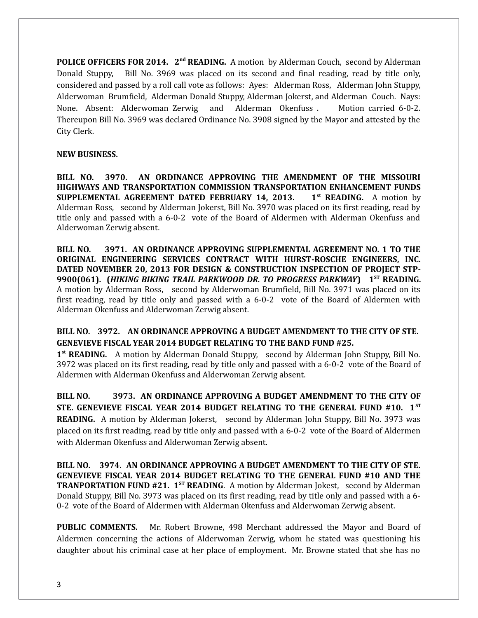**POLICE OFFICERS FOR 2014. 2<sup>nd</sup> READING.** A motion by Alderman Couch, second by Alderman Donald Stuppy, Bill No. 3969 was placed on its second and final reading, read by title only, considered and passed by a roll call vote as follows: Ayes: Alderman Ross, Alderman John Stuppy, Alderwoman Brumfield, Alderman Donald Stuppy, Alderman Jokerst, and Alderman Couch. Nays: None. Absent: Alderwoman Zerwig and Alderman Okenfuss . Motion carried 6-0-2. Thereupon Bill No. 3969 was declared Ordinance No. 3908 signed by the Mayor and attested by the City Clerk.

#### **NEW BUSINESS.**

**BILL NO. 3970. AN ORDINANCE APPROVING THE AMENDMENT OF THE MISSOURI HIGHWAYS AND TRANSPORTATION COMMISSION TRANSPORTATION ENHANCEMENT FUNDS SUPPLEMENTAL AGREEMENT DATED FEBRUARY 14, 2013. 1st READING.** A motion by Alderman Ross, second by Alderman Jokerst, Bill No. 3970 was placed on its first reading, read by title only and passed with a 6-0-2 vote of the Board of Aldermen with Alderman Okenfuss and Alderwoman Zerwig absent.

**BILL NO. 3971. AN ORDINANCE APPROVING SUPPLEMENTAL AGREEMENT NO. 1 TO THE ORIGINAL ENGINEERING SERVICES CONTRACT WITH HURST-ROSCHE ENGINEERS, INC. DATED NOVEMBER 20, 2013 FOR DESIGN & CONSTRUCTION INSPECTION OF PROJECT STP-9900(061). (***HIKING BIKING TRAIL PARKWOOD DR. TO PROGRESS PARKWAY***) 1ST READING.** A motion by Alderman Ross, second by Alderwoman Brumfield, Bill No. 3971 was placed on its first reading, read by title only and passed with a 6-0-2 vote of the Board of Aldermen with Alderman Okenfuss and Alderwoman Zerwig absent.

# **BILL NO. 3972. AN ORDINANCE APPROVING A BUDGET AMENDMENT TO THE CITY OF STE. GENEVIEVE FISCAL YEAR 2014 BUDGET RELATING TO THE BAND FUND #25.**

1<sup>st</sup> READING. A motion by Alderman Donald Stuppy, second by Alderman John Stuppy, Bill No. 3972 was placed on its first reading, read by title only and passed with a 6-0-2 vote of the Board of Aldermen with Alderman Okenfuss and Alderwoman Zerwig absent.

**BILL NO. 3973. AN ORDINANCE APPROVING A BUDGET AMENDMENT TO THE CITY OF STE. GENEVIEVE FISCAL YEAR 2014 BUDGET RELATING TO THE GENERAL FUND #10. 1ST READING.** A motion by Alderman Jokerst, second by Alderman John Stuppy, Bill No. 3973 was placed on its first reading, read by title only and passed with a 6-0-2 vote of the Board of Aldermen with Alderman Okenfuss and Alderwoman Zerwig absent.

**BILL NO. 3974. AN ORDINANCE APPROVING A BUDGET AMENDMENT TO THE CITY OF STE. GENEVIEVE FISCAL YEAR 2014 BUDGET RELATING TO THE GENERAL FUND #10 AND THE TRANPORTATION FUND #21. 1<sup>ST</sup> READING**. A motion by Alderman Jokest, second by Alderman Donald Stuppy, Bill No. 3973 was placed on its first reading, read by title only and passed with a 6- 0-2 vote of the Board of Aldermen with Alderman Okenfuss and Alderwoman Zerwig absent.

**PUBLIC COMMENTS.** Mr. Robert Browne, 498 Merchant addressed the Mayor and Board of Aldermen concerning the actions of Alderwoman Zerwig, whom he stated was questioning his daughter about his criminal case at her place of employment. Mr. Browne stated that she has no